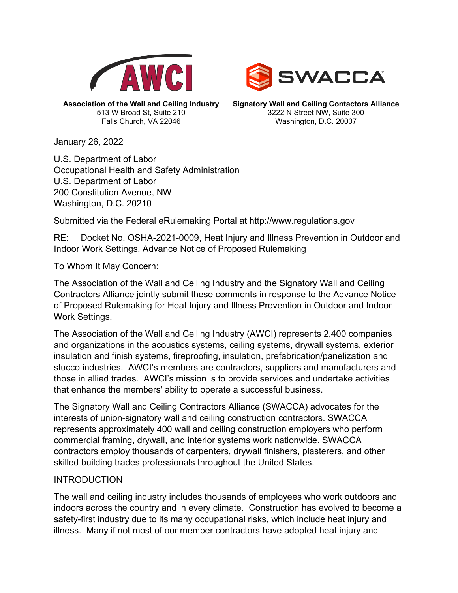



**Association of the Wall and Ceiling Industry** 513 W Broad St, Suite 210 Falls Church, VA 22046

**Signatory Wall and Ceiling Contactors Alliance** 3222 N Street NW, Suite 300 Washington, D.C. 20007

January 26, 2022

U.S. Department of Labor Occupational Health and Safety Administration U.S. Department of Labor 200 Constitution Avenue, NW Washington, D.C. 20210

Submitted via the Federal eRulemaking Portal at http://www.regulations.gov

RE: Docket No. OSHA-2021-0009, Heat Injury and Illness Prevention in Outdoor and Indoor Work Settings, Advance Notice of Proposed Rulemaking

To Whom It May Concern:

The Association of the Wall and Ceiling Industry and the Signatory Wall and Ceiling Contractors Alliance jointly submit these comments in response to the Advance Notice of Proposed Rulemaking for Heat Injury and Illness Prevention in Outdoor and Indoor Work Settings.

The Association of the Wall and Ceiling Industry (AWCI) represents 2,400 companies and organizations in the acoustics systems, ceiling systems, drywall systems, exterior insulation and finish systems, fireproofing, insulation, prefabrication/panelization and stucco industries. AWCI's members are contractors, suppliers and manufacturers and those in allied trades. AWCI's mission is to provide services and undertake activities that enhance the members' ability to operate a successful business.

The Signatory Wall and Ceiling Contractors Alliance (SWACCA) advocates for the interests of union-signatory wall and ceiling construction contractors. SWACCA represents approximately 400 wall and ceiling construction employers who perform commercial framing, drywall, and interior systems work nationwide. SWACCA contractors employ thousands of carpenters, drywall finishers, plasterers, and other skilled building trades professionals throughout the United States.

## INTRODUCTION

The wall and ceiling industry includes thousands of employees who work outdoors and indoors across the country and in every climate. Construction has evolved to become a safety-first industry due to its many occupational risks, which include heat injury and illness. Many if not most of our member contractors have adopted heat injury and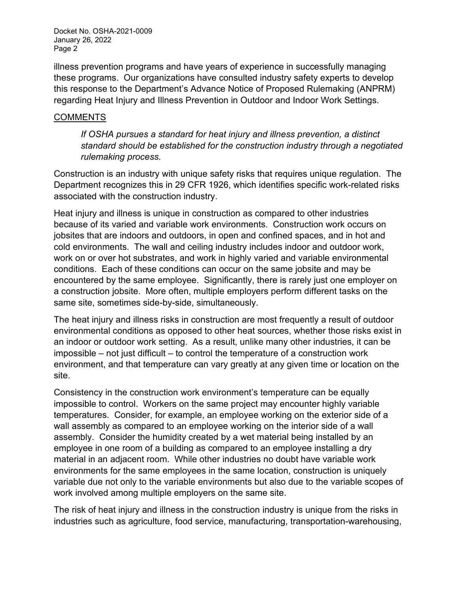illness prevention programs and have years of experience in successfully managing these programs. Our organizations have consulted industry safety experts to develop this response to the Department's Advance Notice of Proposed Rulemaking (ANPRM) regarding Heat Injury and Illness Prevention in Outdoor and Indoor Work Settings.

## **COMMENTS**

*If OSHA pursues a standard for heat injury and illness prevention, a distinct standard should be established for the construction industry through a negotiated rulemaking process.*

Construction is an industry with unique safety risks that requires unique regulation. The Department recognizes this in 29 CFR 1926, which identifies specific work-related risks associated with the construction industry.

Heat injury and illness is unique in construction as compared to other industries because of its varied and variable work environments. Construction work occurs on jobsites that are indoors and outdoors, in open and confined spaces, and in hot and cold environments. The wall and ceiling industry includes indoor and outdoor work, work on or over hot substrates, and work in highly varied and variable environmental conditions. Each of these conditions can occur on the same jobsite and may be encountered by the same employee. Significantly, there is rarely just one employer on a construction jobsite. More often, multiple employers perform different tasks on the same site, sometimes side-by-side, simultaneously.

The heat injury and illness risks in construction are most frequently a result of outdoor environmental conditions as opposed to other heat sources, whether those risks exist in an indoor or outdoor work setting. As a result, unlike many other industries, it can be impossible – not just difficult – to control the temperature of a construction work environment, and that temperature can vary greatly at any given time or location on the site.

Consistency in the construction work environment's temperature can be equally impossible to control. Workers on the same project may encounter highly variable temperatures. Consider, for example, an employee working on the exterior side of a wall assembly as compared to an employee working on the interior side of a wall assembly. Consider the humidity created by a wet material being installed by an employee in one room of a building as compared to an employee installing a dry material in an adjacent room. While other industries no doubt have variable work environments for the same employees in the same location, construction is uniquely variable due not only to the variable environments but also due to the variable scopes of work involved among multiple employers on the same site.

The risk of heat injury and illness in the construction industry is unique from the risks in industries such as agriculture, food service, manufacturing, transportation-warehousing,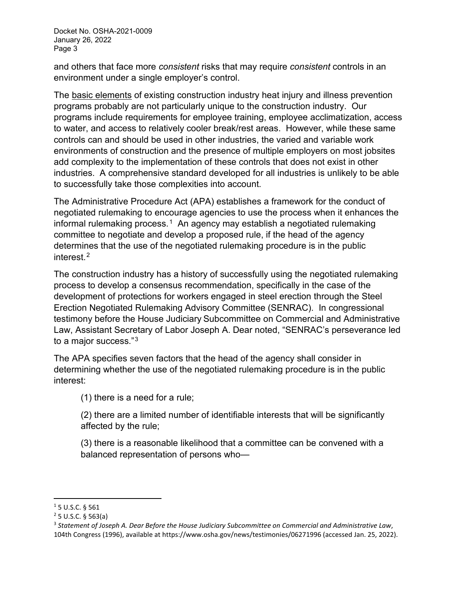and others that face more *consistent* risks that may require *consistent* controls in an environment under a single employer's control.

The basic elements of existing construction industry heat injury and illness prevention programs probably are not particularly unique to the construction industry. Our programs include requirements for employee training, employee acclimatization, access to water, and access to relatively cooler break/rest areas. However, while these same controls can and should be used in other industries, the varied and variable work environments of construction and the presence of multiple employers on most jobsites add complexity to the implementation of these controls that does not exist in other industries. A comprehensive standard developed for all industries is unlikely to be able to successfully take those complexities into account.

The Administrative Procedure Act (APA) establishes a framework for the conduct of negotiated rulemaking to encourage agencies to use the process when it enhances the informal rulemaking process.<sup>1</sup> An agency may establish a negotiated rulemaking committee to negotiate and develop a proposed rule, if the head of the agency determines that the use of the negotiated rulemaking procedure is in the public interest $2$ 

The construction industry has a history of successfully using the negotiated rulemaking process to develop a consensus recommendation, specifically in the case of the development of protections for workers engaged in steel erection through the Steel Erection Negotiated Rulemaking Advisory Committee (SENRAC). In congressional testimony before the House Judiciary Subcommittee on Commercial and Administrative Law, Assistant Secretary of Labor Joseph A. Dear noted, "SENRAC's perseverance led to a major success."[3](#page-2-2) 

The APA specifies seven factors that the head of the agency shall consider in determining whether the use of the negotiated rulemaking procedure is in the public interest:

(1) there is a need for a rule;

(2) there are a limited number of identifiable interests that will be significantly affected by the rule;

(3) there is a reasonable likelihood that a committee can be convened with a balanced representation of persons who—

<span id="page-2-0"></span><sup>1</sup> 5 U.S.C. § 561

<span id="page-2-1"></span> $2$  5 U.S.C. § 563(a)

<span id="page-2-2"></span><sup>3</sup> *Statement of Joseph A. Dear Before the House Judiciary Subcommittee on Commercial and Administrative Law*, 104th Congress (1996), available at https://www.osha.gov/news/testimonies/06271996 (accessed Jan. 25, 2022).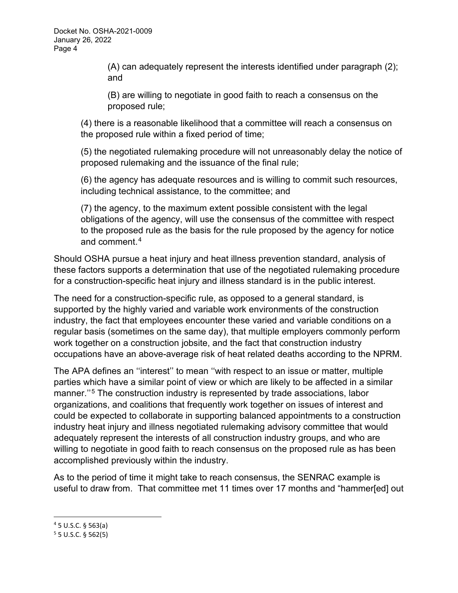(A) can adequately represent the interests identified under paragraph (2); and

(B) are willing to negotiate in good faith to reach a consensus on the proposed rule;

(4) there is a reasonable likelihood that a committee will reach a consensus on the proposed rule within a fixed period of time;

(5) the negotiated rulemaking procedure will not unreasonably delay the notice of proposed rulemaking and the issuance of the final rule;

(6) the agency has adequate resources and is willing to commit such resources, including technical assistance, to the committee; and

(7) the agency, to the maximum extent possible consistent with the legal obligations of the agency, will use the consensus of the committee with respect to the proposed rule as the basis for the rule proposed by the agency for notice and comment.[4](#page-3-0)

Should OSHA pursue a heat injury and heat illness prevention standard, analysis of these factors supports a determination that use of the negotiated rulemaking procedure for a construction-specific heat injury and illness standard is in the public interest.

The need for a construction-specific rule, as opposed to a general standard, is supported by the highly varied and variable work environments of the construction industry, the fact that employees encounter these varied and variable conditions on a regular basis (sometimes on the same day), that multiple employers commonly perform work together on a construction jobsite, and the fact that construction industry occupations have an above-average risk of heat related deaths according to the NPRM.

The APA defines an ''interest'' to mean ''with respect to an issue or matter, multiple parties which have a similar point of view or which are likely to be affected in a similar manner.''[5](#page-3-1) The construction industry is represented by trade associations, labor organizations, and coalitions that frequently work together on issues of interest and could be expected to collaborate in supporting balanced appointments to a construction industry heat injury and illness negotiated rulemaking advisory committee that would adequately represent the interests of all construction industry groups, and who are willing to negotiate in good faith to reach consensus on the proposed rule as has been accomplished previously within the industry.

As to the period of time it might take to reach consensus, the SENRAC example is useful to draw from. That committee met 11 times over 17 months and "hammer[ed] out

<span id="page-3-0"></span> $45$  U.S.C. § 563(a)

<span id="page-3-1"></span> $5$  5 U.S.C. § 562(5)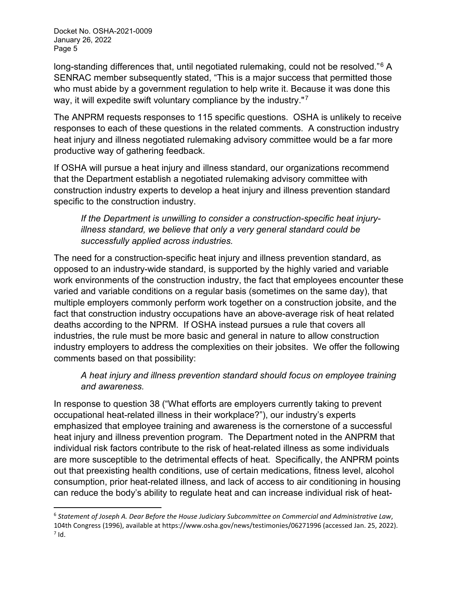long-standing differences that, until negotiated rulemaking, could not be resolved."<sup>[6](#page-4-0)</sup> A SENRAC member subsequently stated, "This is a major success that permitted those who must abide by a government regulation to help write it. Because it was done this way, it will expedite swift voluntary compliance by the industry."<sup>7</sup>

The ANPRM requests responses to 115 specific questions. OSHA is unlikely to receive responses to each of these questions in the related comments. A construction industry heat injury and illness negotiated rulemaking advisory committee would be a far more productive way of gathering feedback.

If OSHA will pursue a heat injury and illness standard, our organizations recommend that the Department establish a negotiated rulemaking advisory committee with construction industry experts to develop a heat injury and illness prevention standard specific to the construction industry.

*If the Department is unwilling to consider a construction-specific heat injuryillness standard, we believe that only a very general standard could be successfully applied across industries.*

The need for a construction-specific heat injury and illness prevention standard, as opposed to an industry-wide standard, is supported by the highly varied and variable work environments of the construction industry, the fact that employees encounter these varied and variable conditions on a regular basis (sometimes on the same day), that multiple employers commonly perform work together on a construction jobsite, and the fact that construction industry occupations have an above-average risk of heat related deaths according to the NPRM. If OSHA instead pursues a rule that covers all industries, the rule must be more basic and general in nature to allow construction industry employers to address the complexities on their jobsites. We offer the following comments based on that possibility:

*A heat injury and illness prevention standard should focus on employee training and awareness.*

In response to question 38 ("What efforts are employers currently taking to prevent occupational heat-related illness in their workplace?"), our industry's experts emphasized that employee training and awareness is the cornerstone of a successful heat injury and illness prevention program. The Department noted in the ANPRM that individual risk factors contribute to the risk of heat-related illness as some individuals are more susceptible to the detrimental effects of heat. Specifically, the ANPRM points out that preexisting health conditions, use of certain medications, fitness level, alcohol consumption, prior heat-related illness, and lack of access to air conditioning in housing can reduce the body's ability to regulate heat and can increase individual risk of heat-

<span id="page-4-1"></span><span id="page-4-0"></span><sup>6</sup> *Statement of Joseph A. Dear Before the House Judiciary Subcommittee on Commercial and Administrative Law*, 104th Congress (1996), available at https://www.osha.gov/news/testimonies/06271996 (accessed Jan. 25, 2022).  $<sup>7</sup>$  Id.</sup>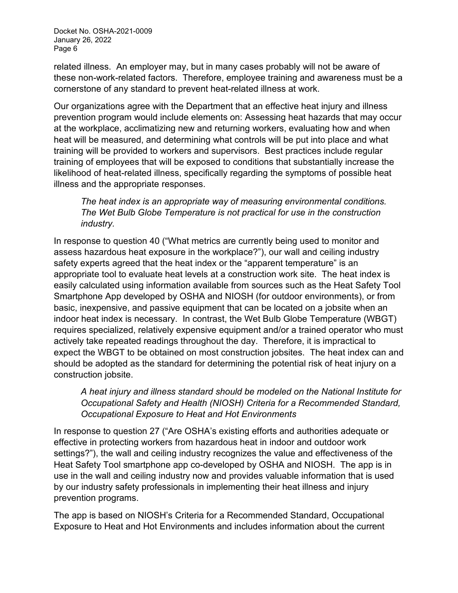related illness. An employer may, but in many cases probably will not be aware of these non-work-related factors. Therefore, employee training and awareness must be a cornerstone of any standard to prevent heat-related illness at work.

Our organizations agree with the Department that an effective heat injury and illness prevention program would include elements on: Assessing heat hazards that may occur at the workplace, acclimatizing new and returning workers, evaluating how and when heat will be measured, and determining what controls will be put into place and what training will be provided to workers and supervisors. Best practices include regular training of employees that will be exposed to conditions that substantially increase the likelihood of heat-related illness, specifically regarding the symptoms of possible heat illness and the appropriate responses.

*The heat index is an appropriate way of measuring environmental conditions. The Wet Bulb Globe Temperature is not practical for use in the construction industry.*

In response to question 40 ("What metrics are currently being used to monitor and assess hazardous heat exposure in the workplace?"), our wall and ceiling industry safety experts agreed that the heat index or the "apparent temperature" is an appropriate tool to evaluate heat levels at a construction work site. The heat index is easily calculated using information available from sources such as the Heat Safety Tool Smartphone App developed by OSHA and NIOSH (for outdoor environments), or from basic, inexpensive, and passive equipment that can be located on a jobsite when an indoor heat index is necessary. In contrast, the Wet Bulb Globe Temperature (WBGT) requires specialized, relatively expensive equipment and/or a trained operator who must actively take repeated readings throughout the day. Therefore, it is impractical to expect the WBGT to be obtained on most construction jobsites. The heat index can and should be adopted as the standard for determining the potential risk of heat injury on a construction jobsite.

*A heat injury and illness standard should be modeled on the National Institute for Occupational Safety and Health (NIOSH) Criteria for a Recommended Standard, Occupational Exposure to Heat and Hot Environments*

In response to question 27 ("Are OSHA's existing efforts and authorities adequate or effective in protecting workers from hazardous heat in indoor and outdoor work settings?"), the wall and ceiling industry recognizes the value and effectiveness of the Heat Safety Tool smartphone app co-developed by OSHA and NIOSH. The app is in use in the wall and ceiling industry now and provides valuable information that is used by our industry safety professionals in implementing their heat illness and injury prevention programs.

The app is based on NIOSH's Criteria for a Recommended Standard, Occupational Exposure to Heat and Hot Environments and includes information about the current